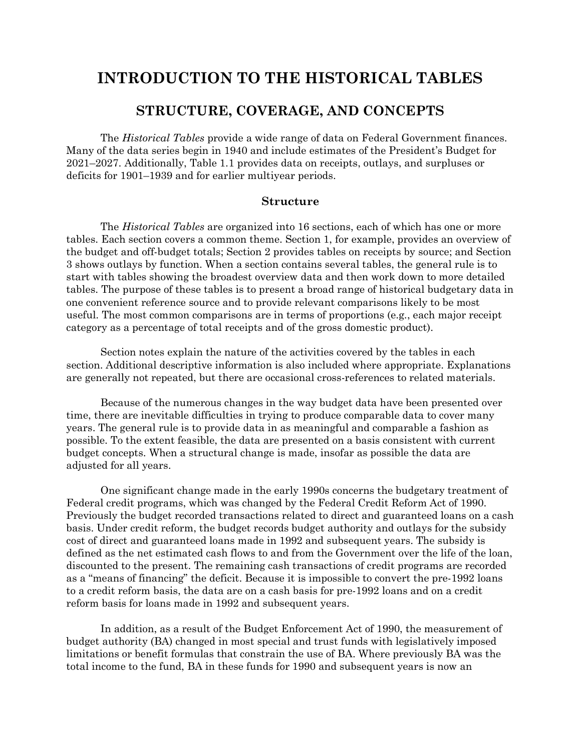# INTRODUCTION TO THE HISTORICAL TABLES

# STRUCTURE, COVERAGE, AND CONCEPTS

The *Historical Tables* provide a wide range of data on Federal Government finances. Many of the data series begin in 1940 and include estimates of the President's Budget for 2021–2027. Additionally, Table 1.1 provides data on receipts, outlays, and surpluses or deficits for 1901–1939 and for earlier multiyear periods.

#### Structure

The *Historical Tables* are organized into 16 sections, each of which has one or more tables. Each section covers a common theme. Section 1, for example, provides an overview of the budget and off-budget totals; Section 2 provides tables on receipts by source; and Section 3 shows outlays by function. When a section contains several tables, the general rule is to start with tables showing the broadest overview data and then work down to more detailed tables. The purpose of these tables is to present a broad range of historical budgetary data in one convenient reference source and to provide relevant comparisons likely to be most useful. The most common comparisons are in terms of proportions (e.g., each major receipt category as a percentage of total receipts and of the gross domestic product).

Section notes explain the nature of the activities covered by the tables in each section. Additional descriptive information is also included where appropriate. Explanations are generally not repeated, but there are occasional cross-references to related materials.

Because of the numerous changes in the way budget data have been presented over time, there are inevitable difficulties in trying to produce comparable data to cover many years. The general rule is to provide data in as meaningful and comparable a fashion as possible. To the extent feasible, the data are presented on a basis consistent with current budget concepts. When a structural change is made, insofar as possible the data are adjusted for all years.

One significant change made in the early 1990s concerns the budgetary treatment of Federal credit programs, which was changed by the Federal Credit Reform Act of 1990. Previously the budget recorded transactions related to direct and guaranteed loans on a cash basis. Under credit reform, the budget records budget authority and outlays for the subsidy cost of direct and guaranteed loans made in 1992 and subsequent years. The subsidy is defined as the net estimated cash flows to and from the Government over the life of the loan, discounted to the present. The remaining cash transactions of credit programs are recorded as a "means of financing" the deficit. Because it is impossible to convert the pre-1992 loans to a credit reform basis, the data are on a cash basis for pre-1992 loans and on a credit reform basis for loans made in 1992 and subsequent years.

In addition, as a result of the Budget Enforcement Act of 1990, the measurement of budget authority (BA) changed in most special and trust funds with legislatively imposed limitations or benefit formulas that constrain the use of BA. Where previously BA was the total income to the fund, BA in these funds for 1990 and subsequent years is now an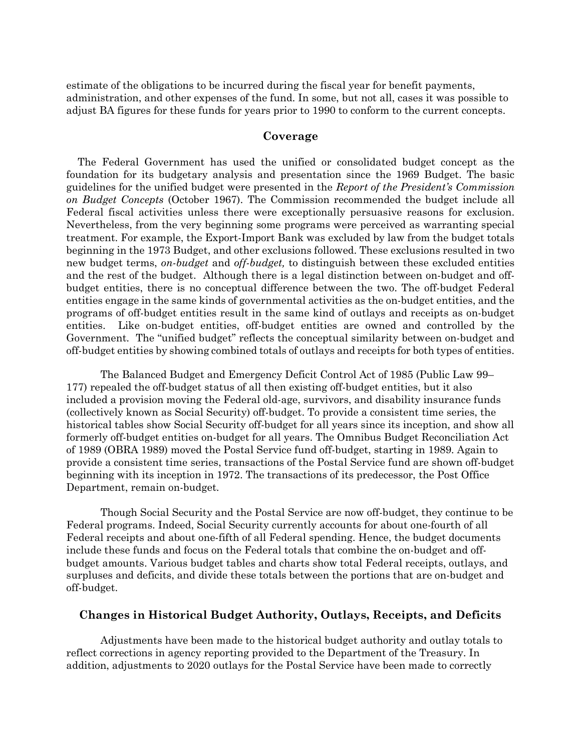estimate of the obligations to be incurred during the fiscal year for benefit payments, administration, and other expenses of the fund. In some, but not all, cases it was possible to adjust BA figures for these funds for years prior to 1990 to conform to the current concepts.

#### Coverage

The Federal Government has used the unified or consolidated budget concept as the foundation for its budgetary analysis and presentation since the 1969 Budget. The basic guidelines for the unified budget were presented in the Report of the President's Commission on Budget Concepts (October 1967). The Commission recommended the budget include all Federal fiscal activities unless there were exceptionally persuasive reasons for exclusion. Nevertheless, from the very beginning some programs were perceived as warranting special treatment. For example, the Export-Import Bank was excluded by law from the budget totals beginning in the 1973 Budget, and other exclusions followed. These exclusions resulted in two new budget terms, on-budget and off-budget, to distinguish between these excluded entities and the rest of the budget. Although there is a legal distinction between on-budget and offbudget entities, there is no conceptual difference between the two. The off-budget Federal entities engage in the same kinds of governmental activities as the on-budget entities, and the programs of off-budget entities result in the same kind of outlays and receipts as on-budget entities. Like on-budget entities, off-budget entities are owned and controlled by the Government. The "unified budget" reflects the conceptual similarity between on-budget and off-budget entities by showing combined totals of outlays and receipts for both types of entities.

The Balanced Budget and Emergency Deficit Control Act of 1985 (Public Law 99– 177) repealed the off-budget status of all then existing off-budget entities, but it also included a provision moving the Federal old-age, survivors, and disability insurance funds (collectively known as Social Security) off-budget. To provide a consistent time series, the historical tables show Social Security off-budget for all years since its inception, and show all formerly off-budget entities on-budget for all years. The Omnibus Budget Reconciliation Act of 1989 (OBRA 1989) moved the Postal Service fund off-budget, starting in 1989. Again to provide a consistent time series, transactions of the Postal Service fund are shown off-budget beginning with its inception in 1972. The transactions of its predecessor, the Post Office Department, remain on-budget.

Though Social Security and the Postal Service are now off-budget, they continue to be Federal programs. Indeed, Social Security currently accounts for about one-fourth of all Federal receipts and about one-fifth of all Federal spending. Hence, the budget documents include these funds and focus on the Federal totals that combine the on-budget and offbudget amounts. Various budget tables and charts show total Federal receipts, outlays, and surpluses and deficits, and divide these totals between the portions that are on-budget and off-budget.

#### Changes in Historical Budget Authority, Outlays, Receipts, and Deficits

Adjustments have been made to the historical budget authority and outlay totals to reflect corrections in agency reporting provided to the Department of the Treasury. In addition, adjustments to 2020 outlays for the Postal Service have been made to correctly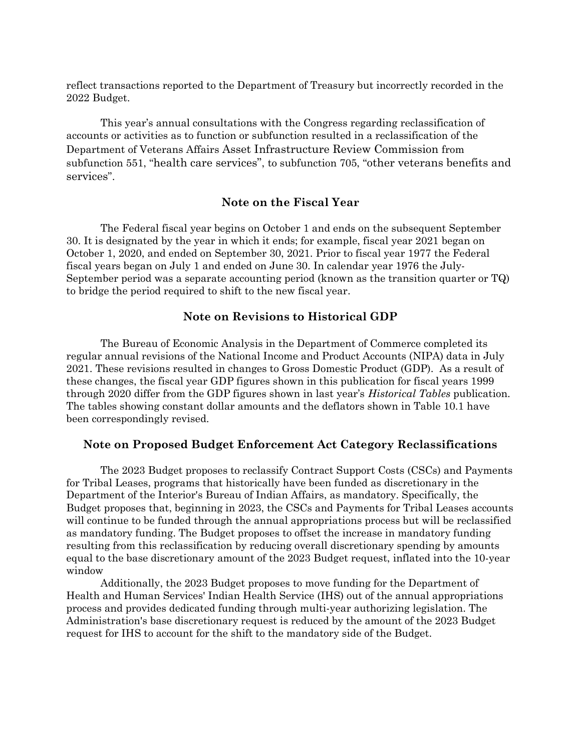reflect transactions reported to the Department of Treasury but incorrectly recorded in the 2022 Budget.

 This year's annual consultations with the Congress regarding reclassification of accounts or activities as to function or subfunction resulted in a reclassification of the Department of Veterans Affairs Asset Infrastructure Review Commission from subfunction 551, "health care services", to subfunction 705, "other veterans benefits and services".

## Note on the Fiscal Year

The Federal fiscal year begins on October 1 and ends on the subsequent September 30. It is designated by the year in which it ends; for example, fiscal year 2021 began on October 1, 2020, and ended on September 30, 2021. Prior to fiscal year 1977 the Federal fiscal years began on July 1 and ended on June 30. In calendar year 1976 the July-September period was a separate accounting period (known as the transition quarter or TQ) to bridge the period required to shift to the new fiscal year.

## Note on Revisions to Historical GDP

The Bureau of Economic Analysis in the Department of Commerce completed its regular annual revisions of the National Income and Product Accounts (NIPA) data in July 2021. These revisions resulted in changes to Gross Domestic Product (GDP). As a result of these changes, the fiscal year GDP figures shown in this publication for fiscal years 1999 through 2020 differ from the GDP figures shown in last year's Historical Tables publication. The tables showing constant dollar amounts and the deflators shown in Table 10.1 have been correspondingly revised.

#### Note on Proposed Budget Enforcement Act Category Reclassifications

 The 2023 Budget proposes to reclassify Contract Support Costs (CSCs) and Payments for Tribal Leases, programs that historically have been funded as discretionary in the Department of the Interior's Bureau of Indian Affairs, as mandatory. Specifically, the Budget proposes that, beginning in 2023, the CSCs and Payments for Tribal Leases accounts will continue to be funded through the annual appropriations process but will be reclassified as mandatory funding. The Budget proposes to offset the increase in mandatory funding resulting from this reclassification by reducing overall discretionary spending by amounts equal to the base discretionary amount of the 2023 Budget request, inflated into the 10-year window

 Additionally, the 2023 Budget proposes to move funding for the Department of Health and Human Services' Indian Health Service (IHS) out of the annual appropriations process and provides dedicated funding through multi-year authorizing legislation. The Administration's base discretionary request is reduced by the amount of the 2023 Budget request for IHS to account for the shift to the mandatory side of the Budget.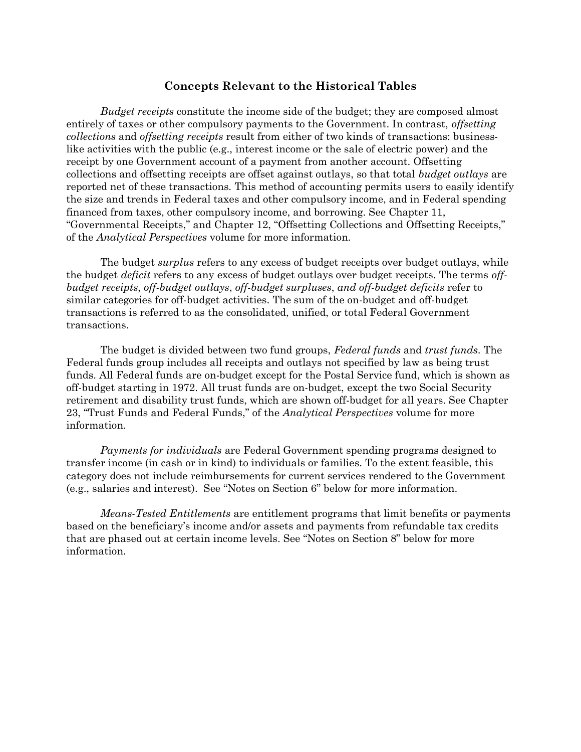## Concepts Relevant to the Historical Tables

*Budget receipts* constitute the income side of the budget; they are composed almost entirely of taxes or other compulsory payments to the Government. In contrast, offsetting collections and offsetting receipts result from either of two kinds of transactions: businesslike activities with the public (e.g., interest income or the sale of electric power) and the receipt by one Government account of a payment from another account. Offsetting collections and offsetting receipts are offset against outlays, so that total budget outlays are reported net of these transactions. This method of accounting permits users to easily identify the size and trends in Federal taxes and other compulsory income, and in Federal spending financed from taxes, other compulsory income, and borrowing. See Chapter 11, "Governmental Receipts," and Chapter 12, "Offsetting Collections and Offsetting Receipts," of the Analytical Perspectives volume for more information.

The budget *surplus* refers to any excess of budget receipts over budget outlays, while the budget *deficit* refers to any excess of budget outlays over budget receipts. The terms offbudget receipts, off-budget outlays, off-budget surpluses, and off-budget deficits refer to similar categories for off-budget activities. The sum of the on-budget and off-budget transactions is referred to as the consolidated, unified, or total Federal Government transactions.

The budget is divided between two fund groups, Federal funds and trust funds. The Federal funds group includes all receipts and outlays not specified by law as being trust funds. All Federal funds are on-budget except for the Postal Service fund, which is shown as off-budget starting in 1972. All trust funds are on-budget, except the two Social Security retirement and disability trust funds, which are shown off-budget for all years. See Chapter 23, "Trust Funds and Federal Funds," of the *Analytical Perspectives* volume for more information.

Payments for individuals are Federal Government spending programs designed to transfer income (in cash or in kind) to individuals or families. To the extent feasible, this category does not include reimbursements for current services rendered to the Government (e.g., salaries and interest). See "Notes on Section 6" below for more information.

Means-Tested Entitlements are entitlement programs that limit benefits or payments based on the beneficiary's income and/or assets and payments from refundable tax credits that are phased out at certain income levels. See "Notes on Section 8" below for more information.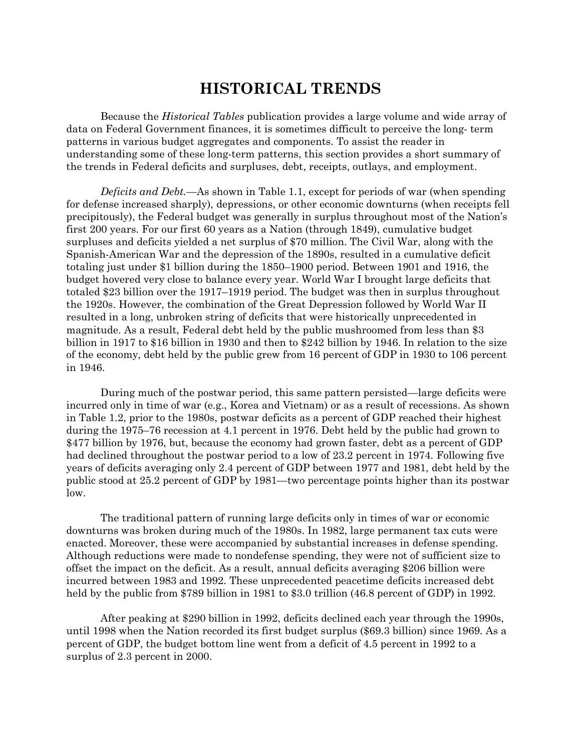# HISTORICAL TRENDS

Because the Historical Tables publication provides a large volume and wide array of data on Federal Government finances, it is sometimes difficult to perceive the long- term patterns in various budget aggregates and components. To assist the reader in understanding some of these long-term patterns, this section provides a short summary of the trends in Federal deficits and surpluses, debt, receipts, outlays, and employment.

Deficits and Debt.—As shown in Table 1.1, except for periods of war (when spending for defense increased sharply), depressions, or other economic downturns (when receipts fell precipitously), the Federal budget was generally in surplus throughout most of the Nation's first 200 years. For our first 60 years as a Nation (through 1849), cumulative budget surpluses and deficits yielded a net surplus of \$70 million. The Civil War, along with the Spanish-American War and the depression of the 1890s, resulted in a cumulative deficit totaling just under \$1 billion during the 1850–1900 period. Between 1901 and 1916, the budget hovered very close to balance every year. World War I brought large deficits that totaled \$23 billion over the 1917–1919 period. The budget was then in surplus throughout the 1920s. However, the combination of the Great Depression followed by World War II resulted in a long, unbroken string of deficits that were historically unprecedented in magnitude. As a result, Federal debt held by the public mushroomed from less than \$3 billion in 1917 to \$16 billion in 1930 and then to \$242 billion by 1946. In relation to the size of the economy, debt held by the public grew from 16 percent of GDP in 1930 to 106 percent in 1946.

During much of the postwar period, this same pattern persisted—large deficits were incurred only in time of war (e.g., Korea and Vietnam) or as a result of recessions. As shown in Table 1.2, prior to the 1980s, postwar deficits as a percent of GDP reached their highest during the 1975–76 recession at 4.1 percent in 1976. Debt held by the public had grown to \$477 billion by 1976, but, because the economy had grown faster, debt as a percent of GDP had declined throughout the postwar period to a low of 23.2 percent in 1974. Following five years of deficits averaging only 2.4 percent of GDP between 1977 and 1981, debt held by the public stood at 25.2 percent of GDP by 1981—two percentage points higher than its postwar low.

The traditional pattern of running large deficits only in times of war or economic downturns was broken during much of the 1980s. In 1982, large permanent tax cuts were enacted. Moreover, these were accompanied by substantial increases in defense spending. Although reductions were made to nondefense spending, they were not of sufficient size to offset the impact on the deficit. As a result, annual deficits averaging \$206 billion were incurred between 1983 and 1992. These unprecedented peacetime deficits increased debt held by the public from \$789 billion in 1981 to \$3.0 trillion (46.8 percent of GDP) in 1992.

After peaking at \$290 billion in 1992, deficits declined each year through the 1990s, until 1998 when the Nation recorded its first budget surplus (\$69.3 billion) since 1969. As a percent of GDP, the budget bottom line went from a deficit of 4.5 percent in 1992 to a surplus of 2.3 percent in 2000.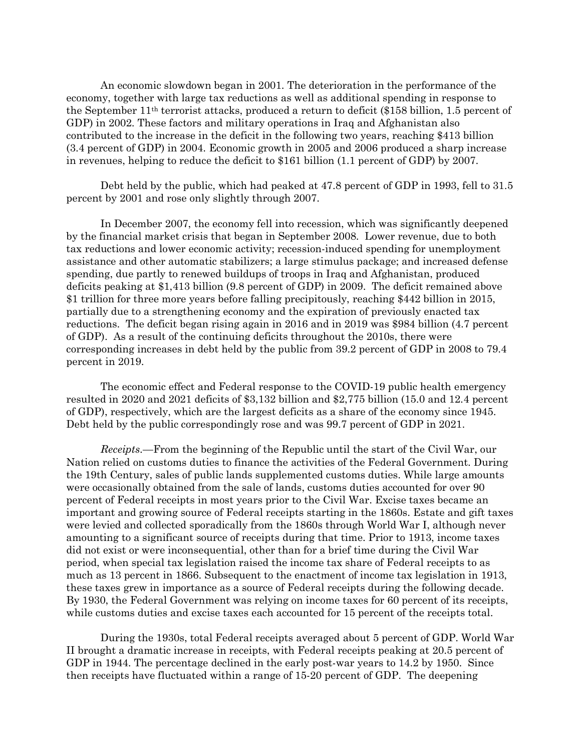An economic slowdown began in 2001. The deterioration in the performance of the economy, together with large tax reductions as well as additional spending in response to the September 11th terrorist attacks, produced a return to deficit (\$158 billion, 1.5 percent of GDP) in 2002. These factors and military operations in Iraq and Afghanistan also contributed to the increase in the deficit in the following two years, reaching \$413 billion (3.4 percent of GDP) in 2004. Economic growth in 2005 and 2006 produced a sharp increase in revenues, helping to reduce the deficit to \$161 billion (1.1 percent of GDP) by 2007.

Debt held by the public, which had peaked at 47.8 percent of GDP in 1993, fell to 31.5 percent by 2001 and rose only slightly through 2007.

In December 2007, the economy fell into recession, which was significantly deepened by the financial market crisis that began in September 2008. Lower revenue, due to both tax reductions and lower economic activity; recession-induced spending for unemployment assistance and other automatic stabilizers; a large stimulus package; and increased defense spending, due partly to renewed buildups of troops in Iraq and Afghanistan, produced deficits peaking at \$1,413 billion (9.8 percent of GDP) in 2009. The deficit remained above \$1 trillion for three more years before falling precipitously, reaching \$442 billion in 2015, partially due to a strengthening economy and the expiration of previously enacted tax reductions. The deficit began rising again in 2016 and in 2019 was \$984 billion (4.7 percent of GDP). As a result of the continuing deficits throughout the 2010s, there were corresponding increases in debt held by the public from 39.2 percent of GDP in 2008 to 79.4 percent in 2019.

The economic effect and Federal response to the COVID-19 public health emergency resulted in 2020 and 2021 deficits of \$3,132 billion and \$2,775 billion (15.0 and 12.4 percent of GDP), respectively, which are the largest deficits as a share of the economy since 1945. Debt held by the public correspondingly rose and was 99.7 percent of GDP in 2021.

Receipts.—From the beginning of the Republic until the start of the Civil War, our Nation relied on customs duties to finance the activities of the Federal Government. During the 19th Century, sales of public lands supplemented customs duties. While large amounts were occasionally obtained from the sale of lands, customs duties accounted for over 90 percent of Federal receipts in most years prior to the Civil War. Excise taxes became an important and growing source of Federal receipts starting in the 1860s. Estate and gift taxes were levied and collected sporadically from the 1860s through World War I, although never amounting to a significant source of receipts during that time. Prior to 1913, income taxes did not exist or were inconsequential, other than for a brief time during the Civil War period, when special tax legislation raised the income tax share of Federal receipts to as much as 13 percent in 1866. Subsequent to the enactment of income tax legislation in 1913, these taxes grew in importance as a source of Federal receipts during the following decade. By 1930, the Federal Government was relying on income taxes for 60 percent of its receipts, while customs duties and excise taxes each accounted for 15 percent of the receipts total.

During the 1930s, total Federal receipts averaged about 5 percent of GDP. World War II brought a dramatic increase in receipts, with Federal receipts peaking at 20.5 percent of GDP in 1944. The percentage declined in the early post-war years to 14.2 by 1950. Since then receipts have fluctuated within a range of 15-20 percent of GDP. The deepening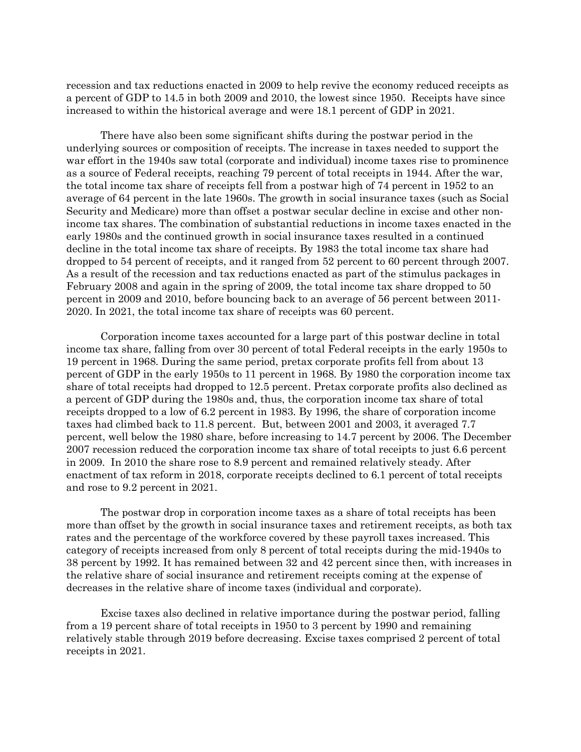recession and tax reductions enacted in 2009 to help revive the economy reduced receipts as a percent of GDP to 14.5 in both 2009 and 2010, the lowest since 1950. Receipts have since increased to within the historical average and were 18.1 percent of GDP in 2021.

There have also been some significant shifts during the postwar period in the underlying sources or composition of receipts. The increase in taxes needed to support the war effort in the 1940s saw total (corporate and individual) income taxes rise to prominence as a source of Federal receipts, reaching 79 percent of total receipts in 1944. After the war, the total income tax share of receipts fell from a postwar high of 74 percent in 1952 to an average of 64 percent in the late 1960s. The growth in social insurance taxes (such as Social Security and Medicare) more than offset a postwar secular decline in excise and other nonincome tax shares. The combination of substantial reductions in income taxes enacted in the early 1980s and the continued growth in social insurance taxes resulted in a continued decline in the total income tax share of receipts. By 1983 the total income tax share had dropped to 54 percent of receipts, and it ranged from 52 percent to 60 percent through 2007. As a result of the recession and tax reductions enacted as part of the stimulus packages in February 2008 and again in the spring of 2009, the total income tax share dropped to 50 percent in 2009 and 2010, before bouncing back to an average of 56 percent between 2011- 2020. In 2021, the total income tax share of receipts was 60 percent.

Corporation income taxes accounted for a large part of this postwar decline in total income tax share, falling from over 30 percent of total Federal receipts in the early 1950s to 19 percent in 1968. During the same period, pretax corporate profits fell from about 13 percent of GDP in the early 1950s to 11 percent in 1968. By 1980 the corporation income tax share of total receipts had dropped to 12.5 percent. Pretax corporate profits also declined as a percent of GDP during the 1980s and, thus, the corporation income tax share of total receipts dropped to a low of 6.2 percent in 1983. By 1996, the share of corporation income taxes had climbed back to 11.8 percent. But, between 2001 and 2003, it averaged 7.7 percent, well below the 1980 share, before increasing to 14.7 percent by 2006. The December 2007 recession reduced the corporation income tax share of total receipts to just 6.6 percent in 2009. In 2010 the share rose to 8.9 percent and remained relatively steady. After enactment of tax reform in 2018, corporate receipts declined to 6.1 percent of total receipts and rose to 9.2 percent in 2021.

The postwar drop in corporation income taxes as a share of total receipts has been more than offset by the growth in social insurance taxes and retirement receipts, as both tax rates and the percentage of the workforce covered by these payroll taxes increased. This category of receipts increased from only 8 percent of total receipts during the mid-1940s to 38 percent by 1992. It has remained between 32 and 42 percent since then, with increases in the relative share of social insurance and retirement receipts coming at the expense of decreases in the relative share of income taxes (individual and corporate).

Excise taxes also declined in relative importance during the postwar period, falling from a 19 percent share of total receipts in 1950 to 3 percent by 1990 and remaining relatively stable through 2019 before decreasing. Excise taxes comprised 2 percent of total receipts in 2021.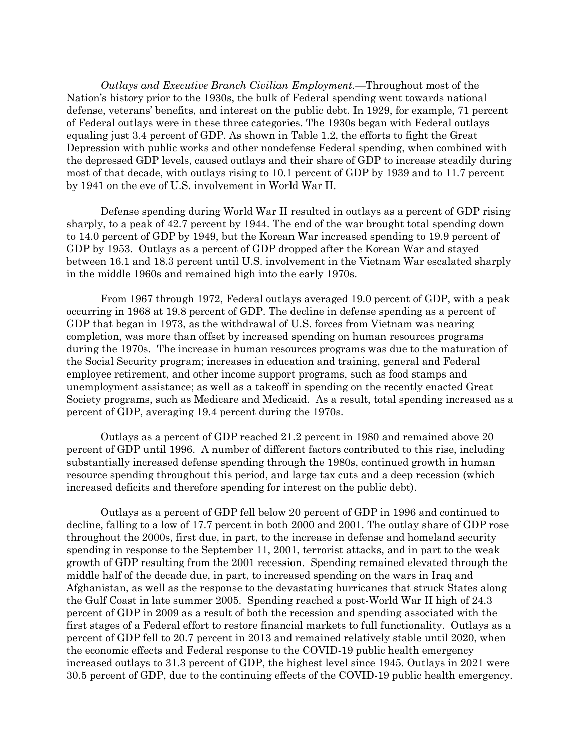Outlays and Executive Branch Civilian Employment.—Throughout most of the Nation's history prior to the 1930s, the bulk of Federal spending went towards national defense, veterans' benefits, and interest on the public debt. In 1929, for example, 71 percent of Federal outlays were in these three categories. The 1930s began with Federal outlays equaling just 3.4 percent of GDP. As shown in Table 1.2, the efforts to fight the Great Depression with public works and other nondefense Federal spending, when combined with the depressed GDP levels, caused outlays and their share of GDP to increase steadily during most of that decade, with outlays rising to 10.1 percent of GDP by 1939 and to 11.7 percent by 1941 on the eve of U.S. involvement in World War II.

Defense spending during World War II resulted in outlays as a percent of GDP rising sharply, to a peak of 42.7 percent by 1944. The end of the war brought total spending down to 14.0 percent of GDP by 1949, but the Korean War increased spending to 19.9 percent of GDP by 1953. Outlays as a percent of GDP dropped after the Korean War and stayed between 16.1 and 18.3 percent until U.S. involvement in the Vietnam War escalated sharply in the middle 1960s and remained high into the early 1970s.

From 1967 through 1972, Federal outlays averaged 19.0 percent of GDP, with a peak occurring in 1968 at 19.8 percent of GDP. The decline in defense spending as a percent of GDP that began in 1973, as the withdrawal of U.S. forces from Vietnam was nearing completion, was more than offset by increased spending on human resources programs during the 1970s. The increase in human resources programs was due to the maturation of the Social Security program; increases in education and training, general and Federal employee retirement, and other income support programs, such as food stamps and unemployment assistance; as well as a takeoff in spending on the recently enacted Great Society programs, such as Medicare and Medicaid. As a result, total spending increased as a percent of GDP, averaging 19.4 percent during the 1970s.

Outlays as a percent of GDP reached 21.2 percent in 1980 and remained above 20 percent of GDP until 1996. A number of different factors contributed to this rise, including substantially increased defense spending through the 1980s, continued growth in human resource spending throughout this period, and large tax cuts and a deep recession (which increased deficits and therefore spending for interest on the public debt).

Outlays as a percent of GDP fell below 20 percent of GDP in 1996 and continued to decline, falling to a low of 17.7 percent in both 2000 and 2001. The outlay share of GDP rose throughout the 2000s, first due, in part, to the increase in defense and homeland security spending in response to the September 11, 2001, terrorist attacks, and in part to the weak growth of GDP resulting from the 2001 recession. Spending remained elevated through the middle half of the decade due, in part, to increased spending on the wars in Iraq and Afghanistan, as well as the response to the devastating hurricanes that struck States along the Gulf Coast in late summer 2005. Spending reached a post-World War II high of 24.3 percent of GDP in 2009 as a result of both the recession and spending associated with the first stages of a Federal effort to restore financial markets to full functionality. Outlays as a percent of GDP fell to 20.7 percent in 2013 and remained relatively stable until 2020, when the economic effects and Federal response to the COVID-19 public health emergency increased outlays to 31.3 percent of GDP, the highest level since 1945. Outlays in 2021 were 30.5 percent of GDP, due to the continuing effects of the COVID-19 public health emergency.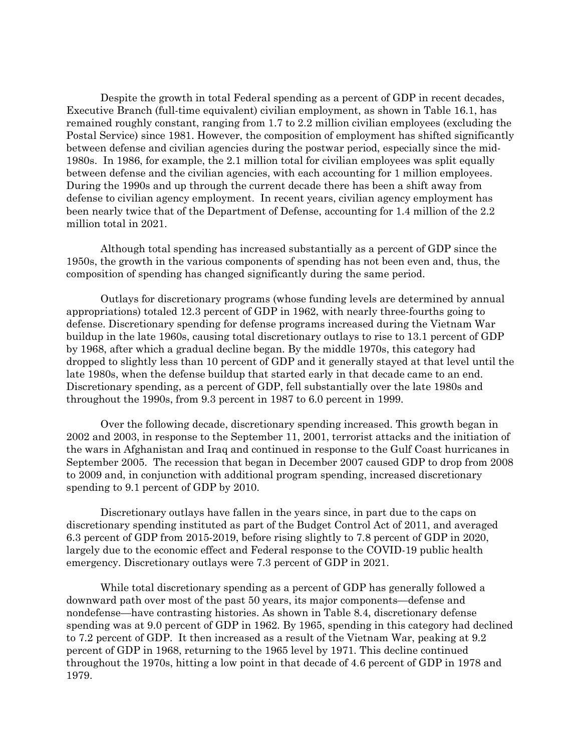Despite the growth in total Federal spending as a percent of GDP in recent decades, Executive Branch (full-time equivalent) civilian employment, as shown in Table 16.1, has remained roughly constant, ranging from 1.7 to 2.2 million civilian employees (excluding the Postal Service) since 1981. However, the composition of employment has shifted significantly between defense and civilian agencies during the postwar period, especially since the mid-1980s. In 1986, for example, the 2.1 million total for civilian employees was split equally between defense and the civilian agencies, with each accounting for 1 million employees. During the 1990s and up through the current decade there has been a shift away from defense to civilian agency employment. In recent years, civilian agency employment has been nearly twice that of the Department of Defense, accounting for 1.4 million of the 2.2 million total in 2021.

Although total spending has increased substantially as a percent of GDP since the 1950s, the growth in the various components of spending has not been even and, thus, the composition of spending has changed significantly during the same period.

Outlays for discretionary programs (whose funding levels are determined by annual appropriations) totaled 12.3 percent of GDP in 1962, with nearly three-fourths going to defense. Discretionary spending for defense programs increased during the Vietnam War buildup in the late 1960s, causing total discretionary outlays to rise to 13.1 percent of GDP by 1968, after which a gradual decline began. By the middle 1970s, this category had dropped to slightly less than 10 percent of GDP and it generally stayed at that level until the late 1980s, when the defense buildup that started early in that decade came to an end. Discretionary spending, as a percent of GDP, fell substantially over the late 1980s and throughout the 1990s, from 9.3 percent in 1987 to 6.0 percent in 1999.

Over the following decade, discretionary spending increased. This growth began in 2002 and 2003, in response to the September 11, 2001, terrorist attacks and the initiation of the wars in Afghanistan and Iraq and continued in response to the Gulf Coast hurricanes in September 2005. The recession that began in December 2007 caused GDP to drop from 2008 to 2009 and, in conjunction with additional program spending, increased discretionary spending to 9.1 percent of GDP by 2010.

Discretionary outlays have fallen in the years since, in part due to the caps on discretionary spending instituted as part of the Budget Control Act of 2011, and averaged 6.3 percent of GDP from 2015-2019, before rising slightly to 7.8 percent of GDP in 2020, largely due to the economic effect and Federal response to the COVID-19 public health emergency. Discretionary outlays were 7.3 percent of GDP in 2021.

While total discretionary spending as a percent of GDP has generally followed a downward path over most of the past 50 years, its major components—defense and nondefense—have contrasting histories. As shown in Table 8.4, discretionary defense spending was at 9.0 percent of GDP in 1962. By 1965, spending in this category had declined to 7.2 percent of GDP. It then increased as a result of the Vietnam War, peaking at 9.2 percent of GDP in 1968, returning to the 1965 level by 1971. This decline continued throughout the 1970s, hitting a low point in that decade of 4.6 percent of GDP in 1978 and 1979.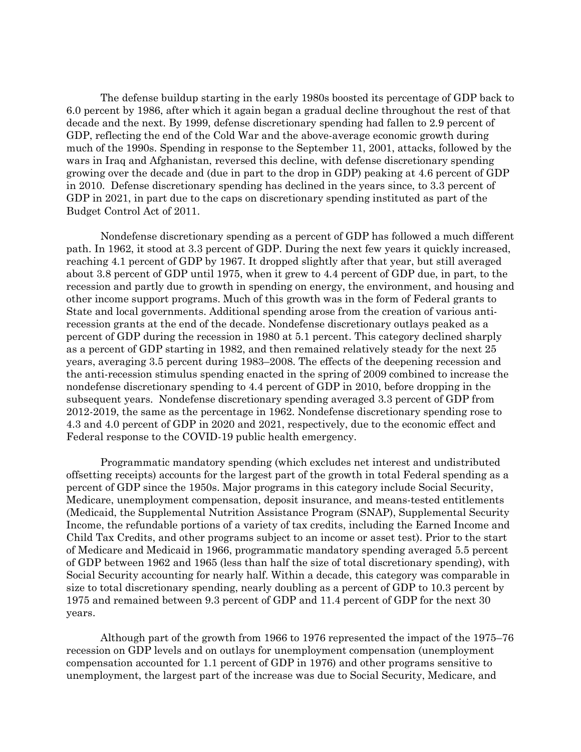The defense buildup starting in the early 1980s boosted its percentage of GDP back to 6.0 percent by 1986, after which it again began a gradual decline throughout the rest of that decade and the next. By 1999, defense discretionary spending had fallen to 2.9 percent of GDP, reflecting the end of the Cold War and the above-average economic growth during much of the 1990s. Spending in response to the September 11, 2001, attacks, followed by the wars in Iraq and Afghanistan, reversed this decline, with defense discretionary spending growing over the decade and (due in part to the drop in GDP) peaking at 4.6 percent of GDP in 2010. Defense discretionary spending has declined in the years since, to 3.3 percent of GDP in 2021, in part due to the caps on discretionary spending instituted as part of the Budget Control Act of 2011.

Nondefense discretionary spending as a percent of GDP has followed a much different path. In 1962, it stood at 3.3 percent of GDP. During the next few years it quickly increased, reaching 4.1 percent of GDP by 1967. It dropped slightly after that year, but still averaged about 3.8 percent of GDP until 1975, when it grew to 4.4 percent of GDP due, in part, to the recession and partly due to growth in spending on energy, the environment, and housing and other income support programs. Much of this growth was in the form of Federal grants to State and local governments. Additional spending arose from the creation of various antirecession grants at the end of the decade. Nondefense discretionary outlays peaked as a percent of GDP during the recession in 1980 at 5.1 percent. This category declined sharply as a percent of GDP starting in 1982, and then remained relatively steady for the next 25 years, averaging 3.5 percent during 1983–2008. The effects of the deepening recession and the anti-recession stimulus spending enacted in the spring of 2009 combined to increase the nondefense discretionary spending to 4.4 percent of GDP in 2010, before dropping in the subsequent years. Nondefense discretionary spending averaged 3.3 percent of GDP from 2012-2019, the same as the percentage in 1962. Nondefense discretionary spending rose to 4.3 and 4.0 percent of GDP in 2020 and 2021, respectively, due to the economic effect and Federal response to the COVID-19 public health emergency.

Programmatic mandatory spending (which excludes net interest and undistributed offsetting receipts) accounts for the largest part of the growth in total Federal spending as a percent of GDP since the 1950s. Major programs in this category include Social Security, Medicare, unemployment compensation, deposit insurance, and means-tested entitlements (Medicaid, the Supplemental Nutrition Assistance Program (SNAP), Supplemental Security Income, the refundable portions of a variety of tax credits, including the Earned Income and Child Tax Credits, and other programs subject to an income or asset test). Prior to the start of Medicare and Medicaid in 1966, programmatic mandatory spending averaged 5.5 percent of GDP between 1962 and 1965 (less than half the size of total discretionary spending), with Social Security accounting for nearly half. Within a decade, this category was comparable in size to total discretionary spending, nearly doubling as a percent of GDP to 10.3 percent by 1975 and remained between 9.3 percent of GDP and 11.4 percent of GDP for the next 30 years.

Although part of the growth from 1966 to 1976 represented the impact of the 1975–76 recession on GDP levels and on outlays for unemployment compensation (unemployment compensation accounted for 1.1 percent of GDP in 1976) and other programs sensitive to unemployment, the largest part of the increase was due to Social Security, Medicare, and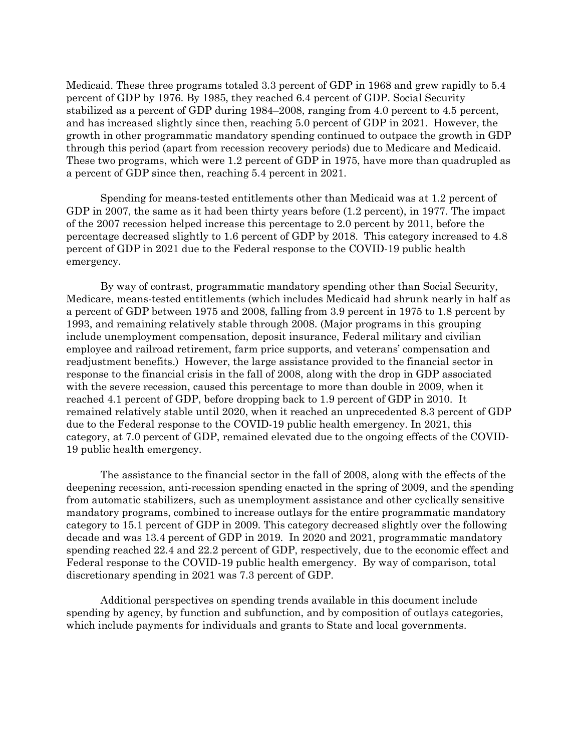Medicaid. These three programs totaled 3.3 percent of GDP in 1968 and grew rapidly to 5.4 percent of GDP by 1976. By 1985, they reached 6.4 percent of GDP. Social Security stabilized as a percent of GDP during 1984–2008, ranging from 4.0 percent to 4.5 percent, and has increased slightly since then, reaching 5.0 percent of GDP in 2021. However, the growth in other programmatic mandatory spending continued to outpace the growth in GDP through this period (apart from recession recovery periods) due to Medicare and Medicaid. These two programs, which were 1.2 percent of GDP in 1975, have more than quadrupled as a percent of GDP since then, reaching 5.4 percent in 2021.

Spending for means-tested entitlements other than Medicaid was at 1.2 percent of GDP in 2007, the same as it had been thirty years before  $(1.2$  percent), in 1977. The impact of the 2007 recession helped increase this percentage to 2.0 percent by 2011, before the percentage decreased slightly to 1.6 percent of GDP by 2018. This category increased to 4.8 percent of GDP in 2021 due to the Federal response to the COVID-19 public health emergency.

By way of contrast, programmatic mandatory spending other than Social Security, Medicare, means-tested entitlements (which includes Medicaid had shrunk nearly in half as a percent of GDP between 1975 and 2008, falling from 3.9 percent in 1975 to 1.8 percent by 1993, and remaining relatively stable through 2008. (Major programs in this grouping include unemployment compensation, deposit insurance, Federal military and civilian employee and railroad retirement, farm price supports, and veterans' compensation and readjustment benefits.) However, the large assistance provided to the financial sector in response to the financial crisis in the fall of 2008, along with the drop in GDP associated with the severe recession, caused this percentage to more than double in 2009, when it reached 4.1 percent of GDP, before dropping back to 1.9 percent of GDP in 2010. It remained relatively stable until 2020, when it reached an unprecedented 8.3 percent of GDP due to the Federal response to the COVID-19 public health emergency. In 2021, this category, at 7.0 percent of GDP, remained elevated due to the ongoing effects of the COVID-19 public health emergency.

The assistance to the financial sector in the fall of 2008, along with the effects of the deepening recession, anti-recession spending enacted in the spring of 2009, and the spending from automatic stabilizers, such as unemployment assistance and other cyclically sensitive mandatory programs, combined to increase outlays for the entire programmatic mandatory category to 15.1 percent of GDP in 2009. This category decreased slightly over the following decade and was 13.4 percent of GDP in 2019. In 2020 and 2021, programmatic mandatory spending reached 22.4 and 22.2 percent of GDP, respectively, due to the economic effect and Federal response to the COVID-19 public health emergency. By way of comparison, total discretionary spending in 2021 was 7.3 percent of GDP.

Additional perspectives on spending trends available in this document include spending by agency, by function and subfunction, and by composition of outlays categories, which include payments for individuals and grants to State and local governments.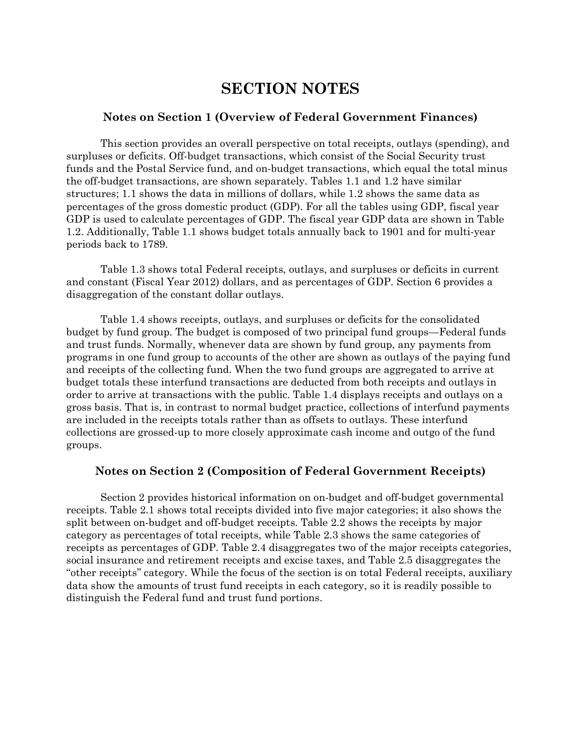# SECTION NOTES

## Notes on Section 1 (Overview of Federal Government Finances)

This section provides an overall perspective on total receipts, outlays (spending), and surpluses or deficits. Off-budget transactions, which consist of the Social Security trust funds and the Postal Service fund, and on-budget transactions, which equal the total minus the off-budget transactions, are shown separately. Tables 1.1 and 1.2 have similar structures; 1.1 shows the data in millions of dollars, while 1.2 shows the same data as percentages of the gross domestic product (GDP). For all the tables using GDP, fiscal year GDP is used to calculate percentages of GDP. The fiscal year GDP data are shown in Table 1.2. Additionally, Table 1.1 shows budget totals annually back to 1901 and for multi-year periods back to 1789.

Table 1.3 shows total Federal receipts, outlays, and surpluses or deficits in current and constant (Fiscal Year 2012) dollars, and as percentages of GDP. Section 6 provides a disaggregation of the constant dollar outlays.

Table 1.4 shows receipts, outlays, and surpluses or deficits for the consolidated budget by fund group. The budget is composed of two principal fund groups—Federal funds and trust funds. Normally, whenever data are shown by fund group, any payments from programs in one fund group to accounts of the other are shown as outlays of the paying fund and receipts of the collecting fund. When the two fund groups are aggregated to arrive at budget totals these interfund transactions are deducted from both receipts and outlays in order to arrive at transactions with the public. Table 1.4 displays receipts and outlays on a gross basis. That is, in contrast to normal budget practice, collections of interfund payments are included in the receipts totals rather than as offsets to outlays. These interfund collections are grossed-up to more closely approximate cash income and outgo of the fund groups.

## Notes on Section 2 (Composition of Federal Government Receipts)

Section 2 provides historical information on on-budget and off-budget governmental receipts. Table 2.1 shows total receipts divided into five major categories; it also shows the split between on-budget and off-budget receipts. Table 2.2 shows the receipts by major category as percentages of total receipts, while Table 2.3 shows the same categories of receipts as percentages of GDP. Table 2.4 disaggregates two of the major receipts categories, social insurance and retirement receipts and excise taxes, and Table 2.5 disaggregates the ''other receipts'' category. While the focus of the section is on total Federal receipts, auxiliary data show the amounts of trust fund receipts in each category, so it is readily possible to distinguish the Federal fund and trust fund portions.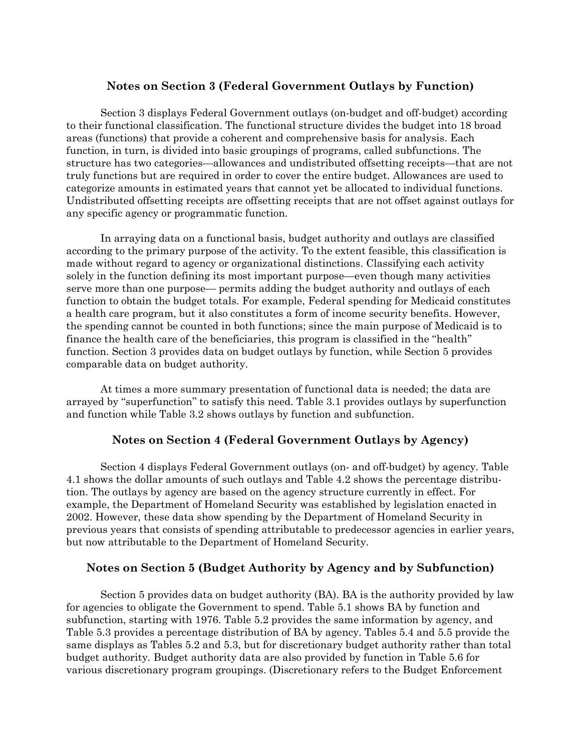## Notes on Section 3 (Federal Government Outlays by Function)

Section 3 displays Federal Government outlays (on-budget and off-budget) according to their functional classification. The functional structure divides the budget into 18 broad areas (functions) that provide a coherent and comprehensive basis for analysis. Each function, in turn, is divided into basic groupings of programs, called subfunctions. The structure has two categories—allowances and undistributed offsetting receipts—that are not truly functions but are required in order to cover the entire budget. Allowances are used to categorize amounts in estimated years that cannot yet be allocated to individual functions. Undistributed offsetting receipts are offsetting receipts that are not offset against outlays for any specific agency or programmatic function.

In arraying data on a functional basis, budget authority and outlays are classified according to the primary purpose of the activity. To the extent feasible, this classification is made without regard to agency or organizational distinctions. Classifying each activity solely in the function defining its most important purpose—even though many activities serve more than one purpose— permits adding the budget authority and outlays of each function to obtain the budget totals. For example, Federal spending for Medicaid constitutes a health care program, but it also constitutes a form of income security benefits. However, the spending cannot be counted in both functions; since the main purpose of Medicaid is to finance the health care of the beneficiaries, this program is classified in the ''health'' function. Section 3 provides data on budget outlays by function, while Section 5 provides comparable data on budget authority.

At times a more summary presentation of functional data is needed; the data are arrayed by "superfunction" to satisfy this need. Table 3.1 provides outlays by superfunction and function while Table 3.2 shows outlays by function and subfunction.

## Notes on Section 4 (Federal Government Outlays by Agency)

Section 4 displays Federal Government outlays (on- and off-budget) by agency. Table 4.1 shows the dollar amounts of such outlays and Table 4.2 shows the percentage distribution. The outlays by agency are based on the agency structure currently in effect. For example, the Department of Homeland Security was established by legislation enacted in 2002. However, these data show spending by the Department of Homeland Security in previous years that consists of spending attributable to predecessor agencies in earlier years, but now attributable to the Department of Homeland Security.

## Notes on Section 5 (Budget Authority by Agency and by Subfunction)

Section 5 provides data on budget authority (BA). BA is the authority provided by law for agencies to obligate the Government to spend. Table 5.1 shows BA by function and subfunction, starting with 1976. Table 5.2 provides the same information by agency, and Table 5.3 provides a percentage distribution of BA by agency. Tables 5.4 and 5.5 provide the same displays as Tables 5.2 and 5.3, but for discretionary budget authority rather than total budget authority. Budget authority data are also provided by function in Table 5.6 for various discretionary program groupings. (Discretionary refers to the Budget Enforcement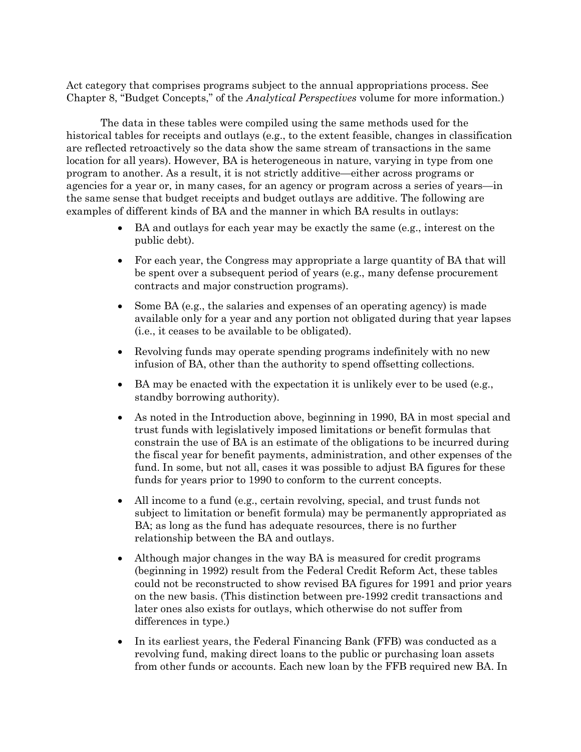Act category that comprises programs subject to the annual appropriations process. See Chapter 8, "Budget Concepts," of the Analytical Perspectives volume for more information.)

The data in these tables were compiled using the same methods used for the historical tables for receipts and outlays (e.g., to the extent feasible, changes in classification are reflected retroactively so the data show the same stream of transactions in the same location for all years). However, BA is heterogeneous in nature, varying in type from one program to another. As a result, it is not strictly additive—either across programs or agencies for a year or, in many cases, for an agency or program across a series of years—in the same sense that budget receipts and budget outlays are additive. The following are examples of different kinds of BA and the manner in which BA results in outlays:

- BA and outlays for each year may be exactly the same (e.g., interest on the public debt).
- For each year, the Congress may appropriate a large quantity of BA that will be spent over a subsequent period of years (e.g., many defense procurement contracts and major construction programs).
- Some BA (e.g., the salaries and expenses of an operating agency) is made available only for a year and any portion not obligated during that year lapses (i.e., it ceases to be available to be obligated).
- Revolving funds may operate spending programs indefinitely with no new infusion of BA, other than the authority to spend offsetting collections.
- BA may be enacted with the expectation it is unlikely ever to be used (e.g., standby borrowing authority).
- As noted in the Introduction above, beginning in 1990, BA in most special and trust funds with legislatively imposed limitations or benefit formulas that constrain the use of BA is an estimate of the obligations to be incurred during the fiscal year for benefit payments, administration, and other expenses of the fund. In some, but not all, cases it was possible to adjust BA figures for these funds for years prior to 1990 to conform to the current concepts.
- All income to a fund (e.g., certain revolving, special, and trust funds not subject to limitation or benefit formula) may be permanently appropriated as BA; as long as the fund has adequate resources, there is no further relationship between the BA and outlays.
- Although major changes in the way BA is measured for credit programs (beginning in 1992) result from the Federal Credit Reform Act, these tables could not be reconstructed to show revised BA figures for 1991 and prior years on the new basis. (This distinction between pre-1992 credit transactions and later ones also exists for outlays, which otherwise do not suffer from differences in type.)
- In its earliest years, the Federal Financing Bank (FFB) was conducted as a revolving fund, making direct loans to the public or purchasing loan assets from other funds or accounts. Each new loan by the FFB required new BA. In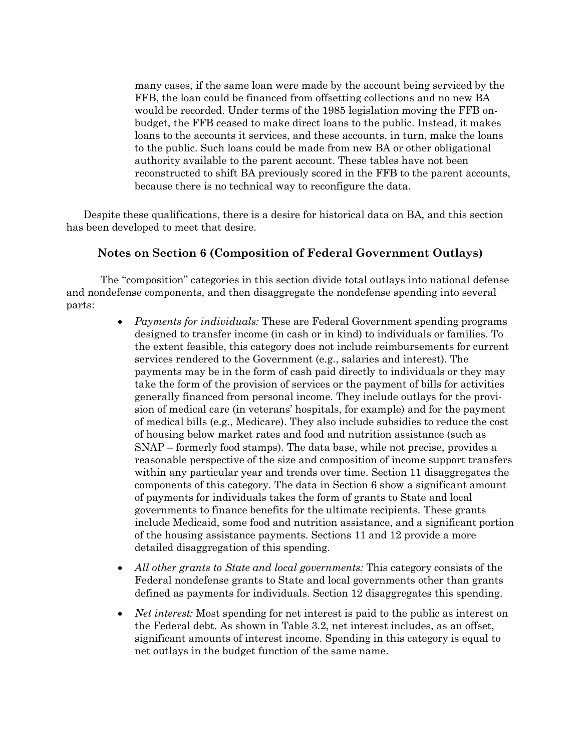many cases, if the same loan were made by the account being serviced by the FFB, the loan could be financed from offsetting collections and no new BA would be recorded. Under terms of the 1985 legislation moving the FFB onbudget, the FFB ceased to make direct loans to the public. Instead, it makes loans to the accounts it services, and these accounts, in turn, make the loans to the public. Such loans could be made from new BA or other obligational authority available to the parent account. These tables have not been reconstructed to shift BA previously scored in the FFB to the parent accounts, because there is no technical way to reconfigure the data.

Despite these qualifications, there is a desire for historical data on BA, and this section has been developed to meet that desire.

## Notes on Section 6 (Composition of Federal Government Outlays)

The "composition" categories in this section divide total outlays into national defense and nondefense components, and then disaggregate the nondefense spending into several parts:

- Payments for individuals: These are Federal Government spending programs designed to transfer income (in cash or in kind) to individuals or families. To the extent feasible, this category does not include reimbursements for current services rendered to the Government (e.g., salaries and interest). The payments may be in the form of cash paid directly to individuals or they may take the form of the provision of services or the payment of bills for activities generally financed from personal income. They include outlays for the provision of medical care (in veterans' hospitals, for example) and for the payment of medical bills (e.g., Medicare). They also include subsidies to reduce the cost of housing below market rates and food and nutrition assistance (such as SNAP – formerly food stamps). The data base, while not precise, provides a reasonable perspective of the size and composition of income support transfers within any particular year and trends over time. Section 11 disaggregates the components of this category. The data in Section 6 show a significant amount of payments for individuals takes the form of grants to State and local governments to finance benefits for the ultimate recipients. These grants include Medicaid, some food and nutrition assistance, and a significant portion of the housing assistance payments. Sections 11 and 12 provide a more detailed disaggregation of this spending.
- All other grants to State and local governments: This category consists of the Federal nondefense grants to State and local governments other than grants defined as payments for individuals. Section 12 disaggregates this spending.
- Net interest: Most spending for net interest is paid to the public as interest on the Federal debt. As shown in Table 3.2, net interest includes, as an offset, significant amounts of interest income. Spending in this category is equal to net outlays in the budget function of the same name.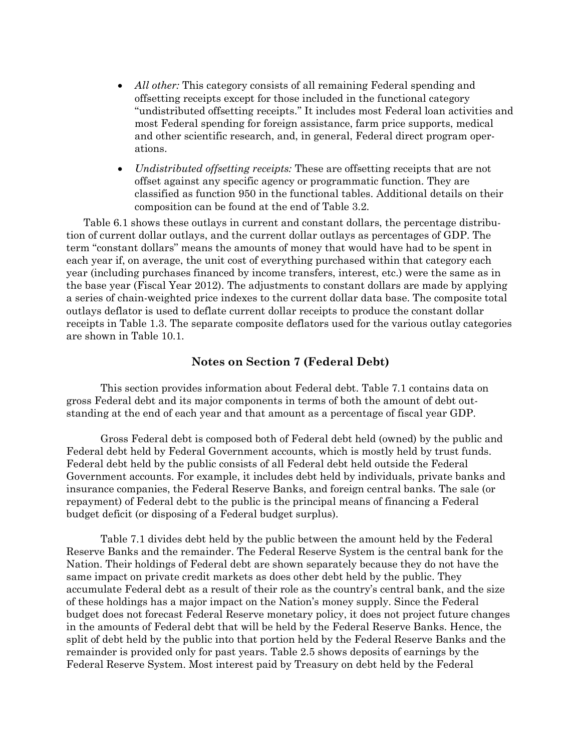- All other: This category consists of all remaining Federal spending and offsetting receipts except for those included in the functional category ''undistributed offsetting receipts.'' It includes most Federal loan activities and most Federal spending for foreign assistance, farm price supports, medical and other scientific research, and, in general, Federal direct program operations.
- Undistributed offsetting receipts: These are offsetting receipts that are not offset against any specific agency or programmatic function. They are classified as function 950 in the functional tables. Additional details on their composition can be found at the end of Table 3.2.

Table 6.1 shows these outlays in current and constant dollars, the percentage distribution of current dollar outlays, and the current dollar outlays as percentages of GDP. The term ''constant dollars'' means the amounts of money that would have had to be spent in each year if, on average, the unit cost of everything purchased within that category each year (including purchases financed by income transfers, interest, etc.) were the same as in the base year (Fiscal Year 2012). The adjustments to constant dollars are made by applying a series of chain-weighted price indexes to the current dollar data base. The composite total outlays deflator is used to deflate current dollar receipts to produce the constant dollar receipts in Table 1.3. The separate composite deflators used for the various outlay categories are shown in Table 10.1.

## Notes on Section 7 (Federal Debt)

This section provides information about Federal debt. Table 7.1 contains data on gross Federal debt and its major components in terms of both the amount of debt outstanding at the end of each year and that amount as a percentage of fiscal year GDP.

Gross Federal debt is composed both of Federal debt held (owned) by the public and Federal debt held by Federal Government accounts, which is mostly held by trust funds. Federal debt held by the public consists of all Federal debt held outside the Federal Government accounts. For example, it includes debt held by individuals, private banks and insurance companies, the Federal Reserve Banks, and foreign central banks. The sale (or repayment) of Federal debt to the public is the principal means of financing a Federal budget deficit (or disposing of a Federal budget surplus).

Table 7.1 divides debt held by the public between the amount held by the Federal Reserve Banks and the remainder. The Federal Reserve System is the central bank for the Nation. Their holdings of Federal debt are shown separately because they do not have the same impact on private credit markets as does other debt held by the public. They accumulate Federal debt as a result of their role as the country's central bank, and the size of these holdings has a major impact on the Nation's money supply. Since the Federal budget does not forecast Federal Reserve monetary policy, it does not project future changes in the amounts of Federal debt that will be held by the Federal Reserve Banks. Hence, the split of debt held by the public into that portion held by the Federal Reserve Banks and the remainder is provided only for past years. Table 2.5 shows deposits of earnings by the Federal Reserve System. Most interest paid by Treasury on debt held by the Federal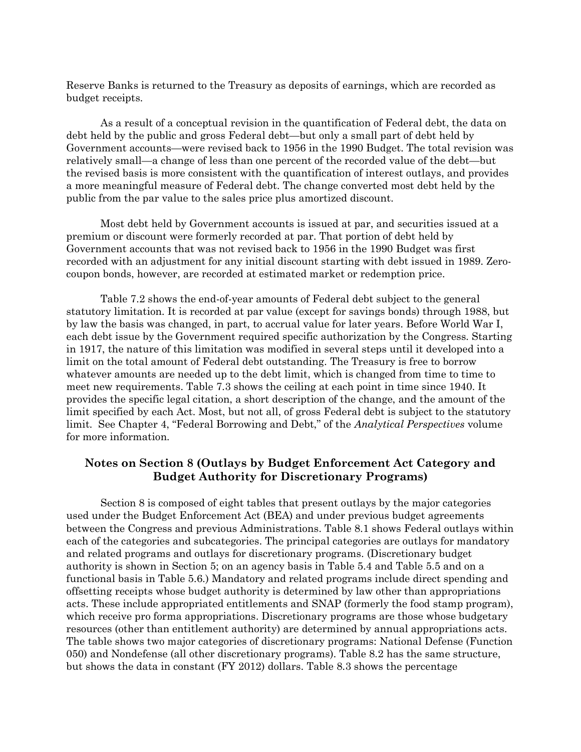Reserve Banks is returned to the Treasury as deposits of earnings, which are recorded as budget receipts.

As a result of a conceptual revision in the quantification of Federal debt, the data on debt held by the public and gross Federal debt—but only a small part of debt held by Government accounts—were revised back to 1956 in the 1990 Budget. The total revision was relatively small—a change of less than one percent of the recorded value of the debt—but the revised basis is more consistent with the quantification of interest outlays, and provides a more meaningful measure of Federal debt. The change converted most debt held by the public from the par value to the sales price plus amortized discount.

Most debt held by Government accounts is issued at par, and securities issued at a premium or discount were formerly recorded at par. That portion of debt held by Government accounts that was not revised back to 1956 in the 1990 Budget was first recorded with an adjustment for any initial discount starting with debt issued in 1989. Zerocoupon bonds, however, are recorded at estimated market or redemption price.

Table 7.2 shows the end-of-year amounts of Federal debt subject to the general statutory limitation. It is recorded at par value (except for savings bonds) through 1988, but by law the basis was changed, in part, to accrual value for later years. Before World War I, each debt issue by the Government required specific authorization by the Congress. Starting in 1917, the nature of this limitation was modified in several steps until it developed into a limit on the total amount of Federal debt outstanding. The Treasury is free to borrow whatever amounts are needed up to the debt limit, which is changed from time to time to meet new requirements. Table 7.3 shows the ceiling at each point in time since 1940. It provides the specific legal citation, a short description of the change, and the amount of the limit specified by each Act. Most, but not all, of gross Federal debt is subject to the statutory limit. See Chapter 4, "Federal Borrowing and Debt," of the *Analytical Perspectives* volume for more information.

## Notes on Section 8 (Outlays by Budget Enforcement Act Category and Budget Authority for Discretionary Programs)

Section 8 is composed of eight tables that present outlays by the major categories used under the Budget Enforcement Act (BEA) and under previous budget agreements between the Congress and previous Administrations. Table 8.1 shows Federal outlays within each of the categories and subcategories. The principal categories are outlays for mandatory and related programs and outlays for discretionary programs. (Discretionary budget authority is shown in Section 5; on an agency basis in Table 5.4 and Table 5.5 and on a functional basis in Table 5.6.) Mandatory and related programs include direct spending and offsetting receipts whose budget authority is determined by law other than appropriations acts. These include appropriated entitlements and SNAP (formerly the food stamp program), which receive pro forma appropriations. Discretionary programs are those whose budgetary resources (other than entitlement authority) are determined by annual appropriations acts. The table shows two major categories of discretionary programs: National Defense (Function 050) and Nondefense (all other discretionary programs). Table 8.2 has the same structure, but shows the data in constant (FY 2012) dollars. Table 8.3 shows the percentage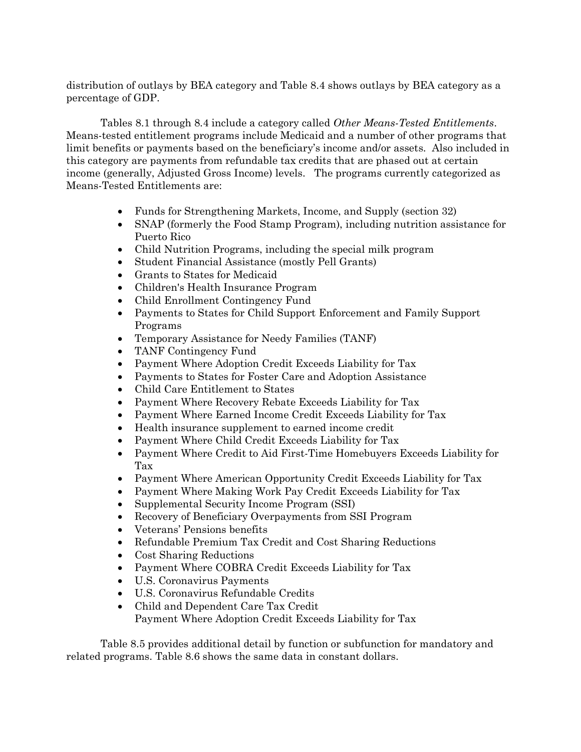distribution of outlays by BEA category and Table 8.4 shows outlays by BEA category as a percentage of GDP.

Tables 8.1 through 8.4 include a category called *Other Means-Tested Entitlements*. Means-tested entitlement programs include Medicaid and a number of other programs that limit benefits or payments based on the beneficiary's income and/or assets. Also included in this category are payments from refundable tax credits that are phased out at certain income (generally, Adjusted Gross Income) levels. The programs currently categorized as Means-Tested Entitlements are:

- Funds for Strengthening Markets, Income, and Supply (section 32)
- SNAP (formerly the Food Stamp Program), including nutrition assistance for Puerto Rico
- Child Nutrition Programs, including the special milk program
- Student Financial Assistance (mostly Pell Grants)
- Grants to States for Medicaid
- Children's Health Insurance Program
- Child Enrollment Contingency Fund
- Payments to States for Child Support Enforcement and Family Support Programs
- Temporary Assistance for Needy Families (TANF)
- TANF Contingency Fund
- Payment Where Adoption Credit Exceeds Liability for Tax
- Payments to States for Foster Care and Adoption Assistance
- Child Care Entitlement to States
- Payment Where Recovery Rebate Exceeds Liability for Tax
- Payment Where Earned Income Credit Exceeds Liability for Tax
- Health insurance supplement to earned income credit
- Payment Where Child Credit Exceeds Liability for Tax
- Payment Where Credit to Aid First-Time Homebuyers Exceeds Liability for Tax
- Payment Where American Opportunity Credit Exceeds Liability for Tax
- Payment Where Making Work Pay Credit Exceeds Liability for Tax
- Supplemental Security Income Program (SSI)
- Recovery of Beneficiary Overpayments from SSI Program
- Veterans' Pensions benefits
- Refundable Premium Tax Credit and Cost Sharing Reductions
- Cost Sharing Reductions
- Payment Where COBRA Credit Exceeds Liability for Tax
- U.S. Coronavirus Payments
- U.S. Coronavirus Refundable Credits
- Child and Dependent Care Tax Credit Payment Where Adoption Credit Exceeds Liability for Tax

Table 8.5 provides additional detail by function or subfunction for mandatory and related programs. Table 8.6 shows the same data in constant dollars.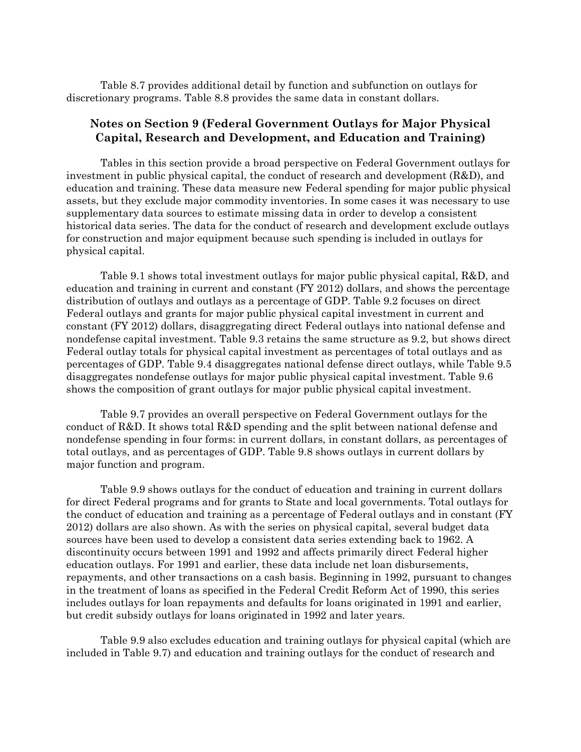Table 8.7 provides additional detail by function and subfunction on outlays for discretionary programs. Table 8.8 provides the same data in constant dollars.

## Notes on Section 9 (Federal Government Outlays for Major Physical Capital, Research and Development, and Education and Training)

Tables in this section provide a broad perspective on Federal Government outlays for investment in public physical capital, the conduct of research and development (R&D), and education and training. These data measure new Federal spending for major public physical assets, but they exclude major commodity inventories. In some cases it was necessary to use supplementary data sources to estimate missing data in order to develop a consistent historical data series. The data for the conduct of research and development exclude outlays for construction and major equipment because such spending is included in outlays for physical capital.

Table 9.1 shows total investment outlays for major public physical capital, R&D, and education and training in current and constant (FY 2012) dollars, and shows the percentage distribution of outlays and outlays as a percentage of GDP. Table 9.2 focuses on direct Federal outlays and grants for major public physical capital investment in current and constant (FY 2012) dollars, disaggregating direct Federal outlays into national defense and nondefense capital investment. Table 9.3 retains the same structure as 9.2, but shows direct Federal outlay totals for physical capital investment as percentages of total outlays and as percentages of GDP. Table 9.4 disaggregates national defense direct outlays, while Table 9.5 disaggregates nondefense outlays for major public physical capital investment. Table 9.6 shows the composition of grant outlays for major public physical capital investment.

Table 9.7 provides an overall perspective on Federal Government outlays for the conduct of R&D. It shows total R&D spending and the split between national defense and nondefense spending in four forms: in current dollars, in constant dollars, as percentages of total outlays, and as percentages of GDP. Table 9.8 shows outlays in current dollars by major function and program.

Table 9.9 shows outlays for the conduct of education and training in current dollars for direct Federal programs and for grants to State and local governments. Total outlays for the conduct of education and training as a percentage of Federal outlays and in constant (FY 2012) dollars are also shown. As with the series on physical capital, several budget data sources have been used to develop a consistent data series extending back to 1962. A discontinuity occurs between 1991 and 1992 and affects primarily direct Federal higher education outlays. For 1991 and earlier, these data include net loan disbursements, repayments, and other transactions on a cash basis. Beginning in 1992, pursuant to changes in the treatment of loans as specified in the Federal Credit Reform Act of 1990, this series includes outlays for loan repayments and defaults for loans originated in 1991 and earlier, but credit subsidy outlays for loans originated in 1992 and later years.

Table 9.9 also excludes education and training outlays for physical capital (which are included in Table 9.7) and education and training outlays for the conduct of research and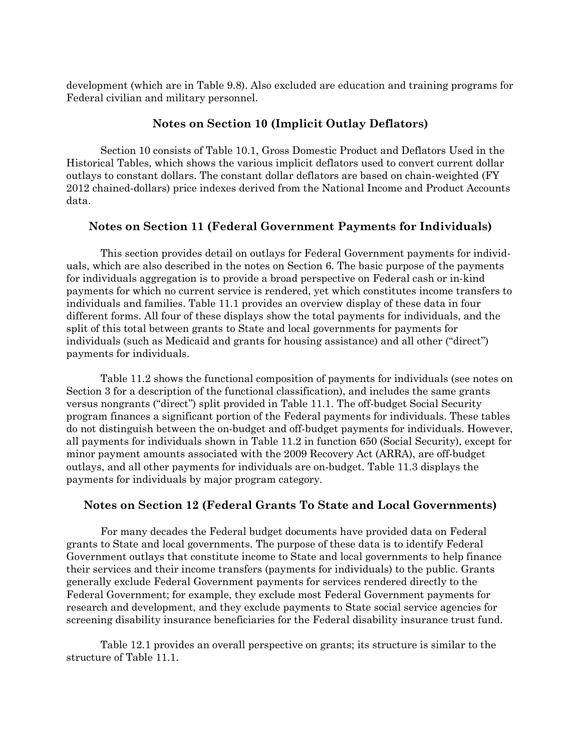development (which are in Table 9.8). Also excluded are education and training programs for Federal civilian and military personnel.

## Notes on Section 10 (Implicit Outlay Deflators)

Section 10 consists of Table 10.1, Gross Domestic Product and Deflators Used in the Historical Tables, which shows the various implicit deflators used to convert current dollar outlays to constant dollars. The constant dollar deflators are based on chain-weighted (FY 2012 chained-dollars) price indexes derived from the National Income and Product Accounts data.

## Notes on Section 11 (Federal Government Payments for Individuals)

This section provides detail on outlays for Federal Government payments for individuals, which are also described in the notes on Section 6. The basic purpose of the payments for individuals aggregation is to provide a broad perspective on Federal cash or in-kind payments for which no current service is rendered, yet which constitutes income transfers to individuals and families. Table 11.1 provides an overview display of these data in four different forms. All four of these displays show the total payments for individuals, and the split of this total between grants to State and local governments for payments for individuals (such as Medicaid and grants for housing assistance) and all other (''direct'') payments for individuals.

Table 11.2 shows the functional composition of payments for individuals (see notes on Section 3 for a description of the functional classification), and includes the same grants versus nongrants (''direct'') split provided in Table 11.1. The off-budget Social Security program finances a significant portion of the Federal payments for individuals. These tables do not distinguish between the on-budget and off-budget payments for individuals. However, all payments for individuals shown in Table 11.2 in function 650 (Social Security), except for minor payment amounts associated with the 2009 Recovery Act (ARRA), are off-budget outlays, and all other payments for individuals are on-budget. Table 11.3 displays the payments for individuals by major program category.

## Notes on Section 12 (Federal Grants To State and Local Governments)

For many decades the Federal budget documents have provided data on Federal grants to State and local governments. The purpose of these data is to identify Federal Government outlays that constitute income to State and local governments to help finance their services and their income transfers (payments for individuals) to the public. Grants generally exclude Federal Government payments for services rendered directly to the Federal Government; for example, they exclude most Federal Government payments for research and development, and they exclude payments to State social service agencies for screening disability insurance beneficiaries for the Federal disability insurance trust fund.

Table 12.1 provides an overall perspective on grants; its structure is similar to the structure of Table 11.1.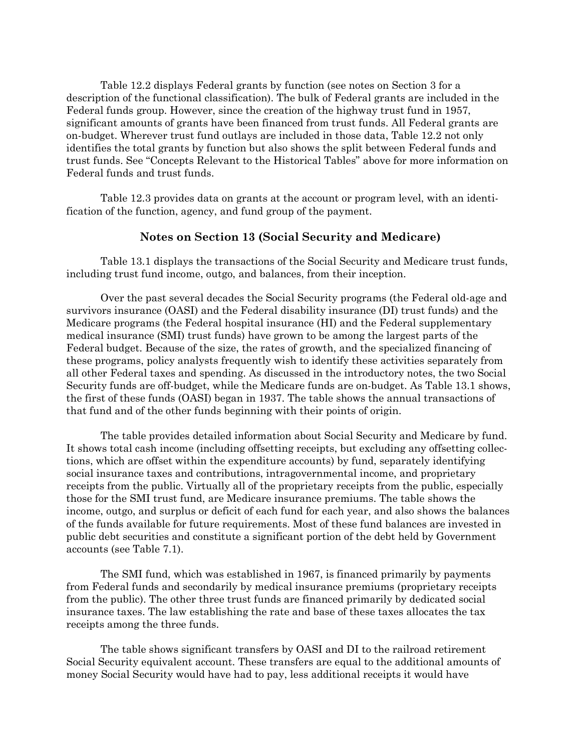Table 12.2 displays Federal grants by function (see notes on Section 3 for a description of the functional classification). The bulk of Federal grants are included in the Federal funds group. However, since the creation of the highway trust fund in 1957, significant amounts of grants have been financed from trust funds. All Federal grants are on-budget. Wherever trust fund outlays are included in those data, Table 12.2 not only identifies the total grants by function but also shows the split between Federal funds and trust funds. See "Concepts Relevant to the Historical Tables" above for more information on Federal funds and trust funds.

Table 12.3 provides data on grants at the account or program level, with an identification of the function, agency, and fund group of the payment.

## Notes on Section 13 (Social Security and Medicare)

Table 13.1 displays the transactions of the Social Security and Medicare trust funds, including trust fund income, outgo, and balances, from their inception.

Over the past several decades the Social Security programs (the Federal old-age and survivors insurance (OASI) and the Federal disability insurance (DI) trust funds) and the Medicare programs (the Federal hospital insurance (HI) and the Federal supplementary medical insurance (SMI) trust funds) have grown to be among the largest parts of the Federal budget. Because of the size, the rates of growth, and the specialized financing of these programs, policy analysts frequently wish to identify these activities separately from all other Federal taxes and spending. As discussed in the introductory notes, the two Social Security funds are off-budget, while the Medicare funds are on-budget. As Table 13.1 shows, the first of these funds (OASI) began in 1937. The table shows the annual transactions of that fund and of the other funds beginning with their points of origin.

The table provides detailed information about Social Security and Medicare by fund. It shows total cash income (including offsetting receipts, but excluding any offsetting collections, which are offset within the expenditure accounts) by fund, separately identifying social insurance taxes and contributions, intragovernmental income, and proprietary receipts from the public. Virtually all of the proprietary receipts from the public, especially those for the SMI trust fund, are Medicare insurance premiums. The table shows the income, outgo, and surplus or deficit of each fund for each year, and also shows the balances of the funds available for future requirements. Most of these fund balances are invested in public debt securities and constitute a significant portion of the debt held by Government accounts (see Table 7.1).

The SMI fund, which was established in 1967, is financed primarily by payments from Federal funds and secondarily by medical insurance premiums (proprietary receipts from the public). The other three trust funds are financed primarily by dedicated social insurance taxes. The law establishing the rate and base of these taxes allocates the tax receipts among the three funds.

The table shows significant transfers by OASI and DI to the railroad retirement Social Security equivalent account. These transfers are equal to the additional amounts of money Social Security would have had to pay, less additional receipts it would have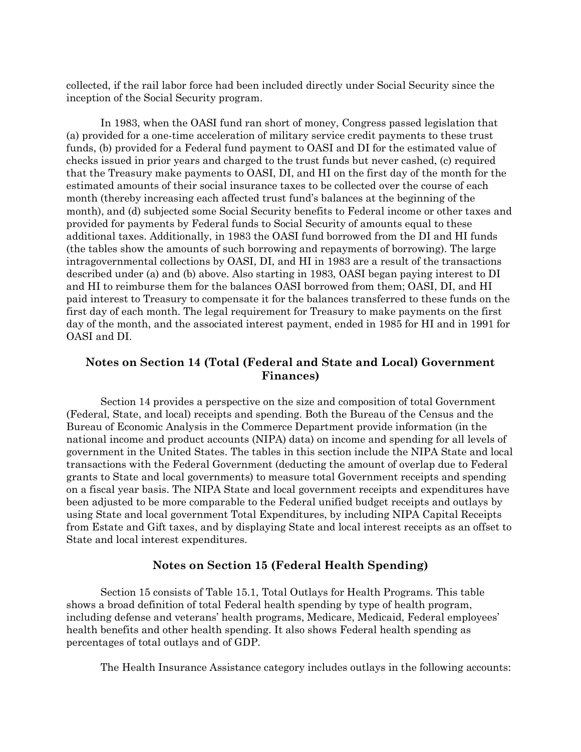collected, if the rail labor force had been included directly under Social Security since the inception of the Social Security program.

In 1983, when the OASI fund ran short of money, Congress passed legislation that (a) provided for a one-time acceleration of military service credit payments to these trust funds, (b) provided for a Federal fund payment to OASI and DI for the estimated value of checks issued in prior years and charged to the trust funds but never cashed, (c) required that the Treasury make payments to OASI, DI, and HI on the first day of the month for the estimated amounts of their social insurance taxes to be collected over the course of each month (thereby increasing each affected trust fund's balances at the beginning of the month), and (d) subjected some Social Security benefits to Federal income or other taxes and provided for payments by Federal funds to Social Security of amounts equal to these additional taxes. Additionally, in 1983 the OASI fund borrowed from the DI and HI funds (the tables show the amounts of such borrowing and repayments of borrowing). The large intragovernmental collections by OASI, DI, and HI in 1983 are a result of the transactions described under (a) and (b) above. Also starting in 1983, OASI began paying interest to DI and HI to reimburse them for the balances OASI borrowed from them; OASI, DI, and HI paid interest to Treasury to compensate it for the balances transferred to these funds on the first day of each month. The legal requirement for Treasury to make payments on the first day of the month, and the associated interest payment, ended in 1985 for HI and in 1991 for OASI and DI.

# Notes on Section 14 (Total (Federal and State and Local) Government Finances)

Section 14 provides a perspective on the size and composition of total Government (Federal, State, and local) receipts and spending. Both the Bureau of the Census and the Bureau of Economic Analysis in the Commerce Department provide information (in the national income and product accounts (NIPA) data) on income and spending for all levels of government in the United States. The tables in this section include the NIPA State and local transactions with the Federal Government (deducting the amount of overlap due to Federal grants to State and local governments) to measure total Government receipts and spending on a fiscal year basis. The NIPA State and local government receipts and expenditures have been adjusted to be more comparable to the Federal unified budget receipts and outlays by using State and local government Total Expenditures, by including NIPA Capital Receipts from Estate and Gift taxes, and by displaying State and local interest receipts as an offset to State and local interest expenditures.

## Notes on Section 15 (Federal Health Spending)

Section 15 consists of Table 15.1, Total Outlays for Health Programs. This table shows a broad definition of total Federal health spending by type of health program, including defense and veterans' health programs, Medicare, Medicaid, Federal employees' health benefits and other health spending. It also shows Federal health spending as percentages of total outlays and of GDP.

The Health Insurance Assistance category includes outlays in the following accounts: